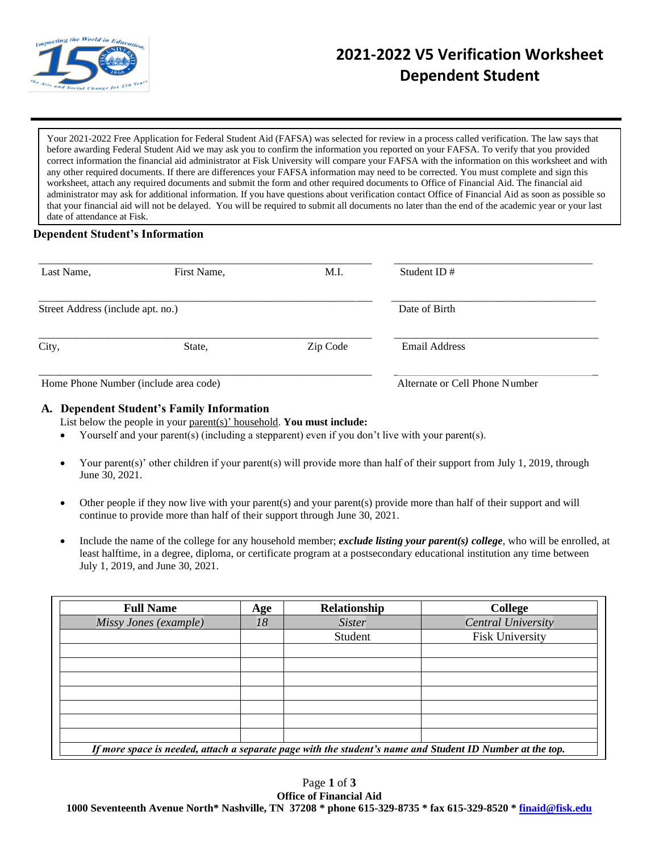

# **2021-2022 V5 Verification Worksheet Dependent Student**

Your 2021-2022 Free Application for Federal Student Aid (FAFSA) was selected for review in a process called verification. The law says that before awarding Federal Student Aid we may ask you to confirm the information you reported on your FAFSA. To verify that you provided correct information the financial aid administrator at Fisk University will compare your FAFSA with the information on this worksheet and with any other required documents. If there are differences your FAFSA information may need to be corrected. You must complete and sign this worksheet, attach any required documents and submit the form and other required documents to Office of Financial Aid. The financial aid administrator may ask for additional information. If you have questions about verification contact Office of Financial Aid as soon as possible so that your financial aid will not be delayed. You will be required to submit all documents no later than the end of the academic year or your last date of attendance at Fisk.

## **Dependent Student's Information**

| Last Name,                            | First Name, | M.I.     | Student ID $#$                 |  |
|---------------------------------------|-------------|----------|--------------------------------|--|
| Street Address (include apt. no.)     |             |          | Date of Birth                  |  |
| City,                                 | State,      | Zip Code | <b>Email Address</b>           |  |
| Home Phone Number (include area code) |             |          | Alternate or Cell Phone Number |  |

## **A. Dependent Student's Family Information**

List below the people in your parent(s)' household. **You must include:**

- Yourself and your parent(s) (including a stepparent) even if you don't live with your parent(s).
- Your parent(s)' other children if your parent(s) will provide more than half of their support from July 1, 2019, through June 30, 2021.
- Other people if they now live with your parent(s) and your parent(s) provide more than half of their support and will continue to provide more than half of their support through June 30, 2021.
- Include the name of the college for any household member; *exclude listing your parent(s) college*, who will be enrolled, at least halftime, in a degree, diploma, or certificate program at a postsecondary educational institution any time between July 1, 2019, and June 30, 2021.

| <b>Full Name</b>                                                                                          | Age | Relationship  | College                |  |  |  |
|-----------------------------------------------------------------------------------------------------------|-----|---------------|------------------------|--|--|--|
| Missy Jones (example)                                                                                     | 18  | <b>Sister</b> | Central University     |  |  |  |
|                                                                                                           |     | Student       | <b>Fisk University</b> |  |  |  |
|                                                                                                           |     |               |                        |  |  |  |
|                                                                                                           |     |               |                        |  |  |  |
|                                                                                                           |     |               |                        |  |  |  |
|                                                                                                           |     |               |                        |  |  |  |
|                                                                                                           |     |               |                        |  |  |  |
|                                                                                                           |     |               |                        |  |  |  |
|                                                                                                           |     |               |                        |  |  |  |
| If more space is needed, attach a separate page with the student's name and Student ID Number at the top. |     |               |                        |  |  |  |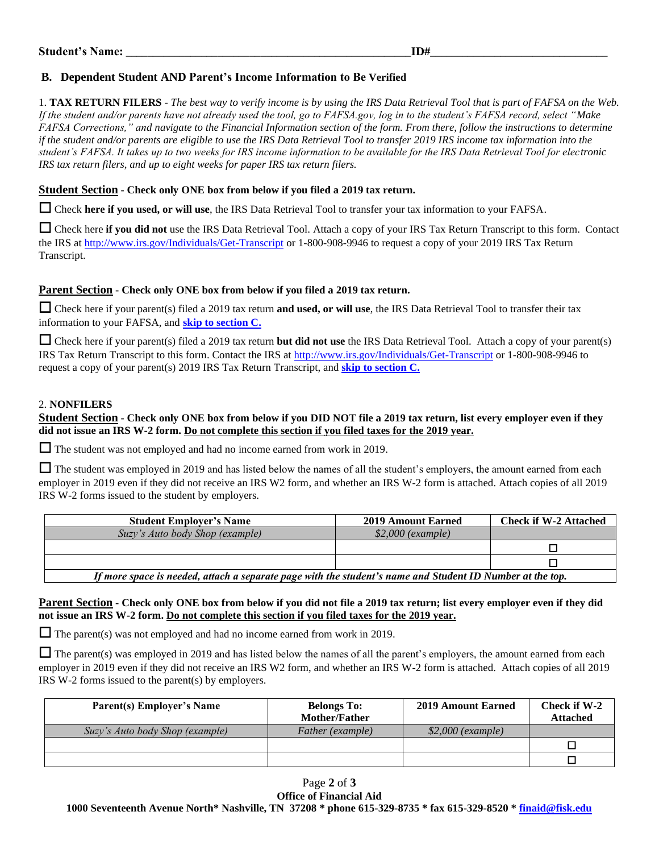## **B. Dependent Student AND Parent's Income Information to Be Verified**

1. **TAX RETURN FILERS** - *The best way to verify income is by using the IRS Data Retrieval Tool that is part of FAFSA on the Web. If the student and/or parents have not already used the tool, go to FAFSA.gov, log in to the student's FAFSA record, select "Make FAFSA Corrections," and navigate to the Financial Information section of the form. From there, follow the instructions to determine if the student and/or parents are eligible to use the IRS Data Retrieval Tool to transfer 2019 IRS income tax information into the student's FAFSA. It takes up to two weeks for IRS income information to be available for the IRS Data Retrieval Tool for electronic IRS tax return filers, and up to eight weeks for paper IRS tax return filers.*

#### **Student Section - Check only ONE box from below if you filed a 2019 tax return.**

☐ Check **here if you used, or will use**, the IRS Data Retrieval Tool to transfer your tax information to your FAFSA.

□ Check here if you did not use the IRS Data Retrieval Tool. Attach a copy of your IRS Tax Return Transcript to this form. Contact the IRS at<http://www.irs.gov/Individuals/Get-Transcript> or 1-800-908-9946 to request a copy of your 2019 IRS Tax Return Transcript.

#### **Parent Section - Check only ONE box from below if you filed a 2019 tax return.**

□ Check here if your parent(s) filed a 2019 tax return **and used, or will use**, the IRS Data Retrieval Tool to transfer their tax information to your FAFSA, and **skip to section C.**

☐ Check here if your parent(s) filed a 2019 tax return **but did not use** the IRS Data Retrieval Tool. Attach a copy of your parent(s) IRS Tax Return Transcript to this form. Contact the IRS at<http://www.irs.gov/Individuals/Get-Transcript> or 1-800-908-9946 to request a copy of your parent(s) 2019 IRS Tax Return Transcript, and **skip to section C.**

#### 2. **NONFILERS**

## **Student Section - Check only ONE box from below if you DID NOT file a 2019 tax return, list every employer even if they did not issue an IRS W-2 form. Do not complete this section if you filed taxes for the 2019 year.**

□ The student was not employed and had no income earned from work in 2019.

 $\Box$  The student was employed in 2019 and has listed below the names of all the student's employers, the amount earned from each employer in 2019 even if they did not receive an IRS W2 form, and whether an IRS W-2 form is attached. Attach copies of all 2019 IRS W-2 forms issued to the student by employers.

| <b>Student Employer's Name</b>                                                                            | <b>2019 Amount Earned</b> | <b>Check if W-2 Attached</b> |  |  |  |
|-----------------------------------------------------------------------------------------------------------|---------------------------|------------------------------|--|--|--|
| Suzy's Auto body Shop (example)                                                                           | $$2,000$ (example)        |                              |  |  |  |
|                                                                                                           |                           |                              |  |  |  |
|                                                                                                           |                           |                              |  |  |  |
| If more space is needed, attach a separate page with the student's name and Student ID Number at the top. |                           |                              |  |  |  |

#### **Parent Section - Check only ONE box from below if you did not file a 2019 tax return; list every employer even if they did not issue an IRS W-2 form. Do not complete this section if you filed taxes for the 2019 year.**

 $\Box$  The parent(s) was not employed and had no income earned from work in 2019.

 $\Box$  The parent(s) was employed in 2019 and has listed below the names of all the parent's employers, the amount earned from each employer in 2019 even if they did not receive an IRS W2 form, and whether an IRS W-2 form is attached. Attach copies of all 2019 IRS W-2 forms issued to the parent(s) by employers.

| <b>Parent(s) Employer's Name</b> | <b>Belongs To:</b><br>Mother/Father | <b>2019 Amount Earned</b> | Check if W-2<br><b>Attached</b> |
|----------------------------------|-------------------------------------|---------------------------|---------------------------------|
| Suzy's Auto body Shop (example)  | Father (example)                    | $$2,000$ (example)        |                                 |
|                                  |                                     |                           |                                 |
|                                  |                                     |                           |                                 |

## Page **2** of **3**

**Office of Financial Aid 1000 Seventeenth Avenue North\* Nashville, TN 37208 \* phone 615-329-8735 \* fax 615-329-8520 \* [finaid@fisk.edu](mailto:finaid@fisk.edu)**